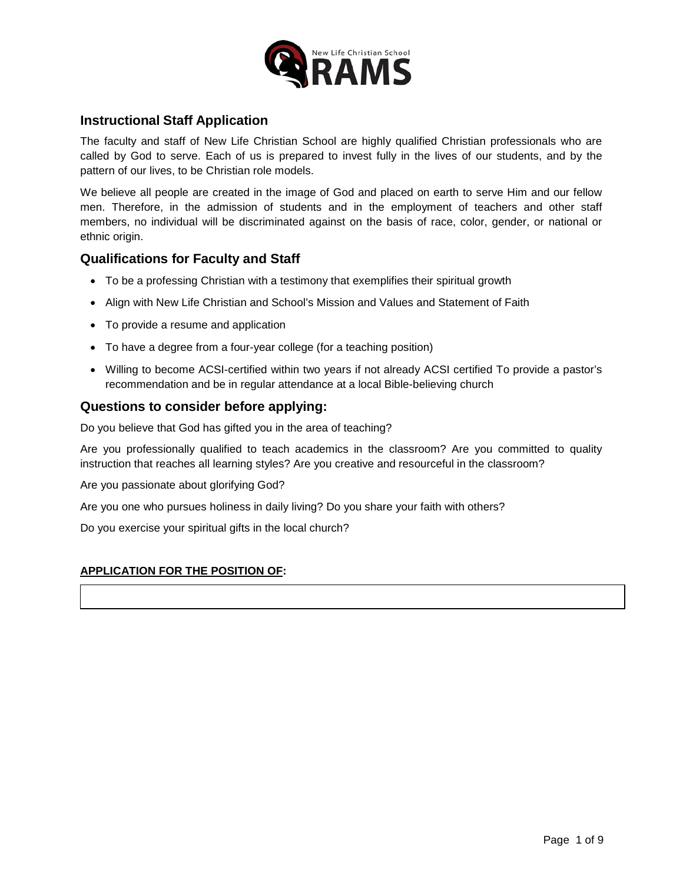

# **Instructional Staff Application**

The faculty and staff of New Life Christian School are highly qualified Christian professionals who are called by God to serve. Each of us is prepared to invest fully in the lives of our students, and by the pattern of our lives, to be Christian role models.

We believe all people are created in the image of God and placed on earth to serve Him and our fellow men. Therefore, in the admission of students and in the employment of teachers and other staff members, no individual will be discriminated against on the basis of race, color, gender, or national or ethnic origin.

# **Qualifications for Faculty and Staff**

- To be a professing Christian with a testimony that exemplifies their spiritual growth
- Align with New Life Christian and School's Mission and Values and Statement of Faith
- To provide a resume and application
- To have a degree from a four-year college (for a teaching position)
- Willing to become ACSI-certified within two years if not already ACSI certified To provide a pastor's recommendation and be in regular attendance at a local Bible-believing church

# **Questions to consider before applying:**

Do you believe that God has gifted you in the area of teaching?

Are you professionally qualified to teach academics in the classroom? Are you committed to quality instruction that reaches all learning styles? Are you creative and resourceful in the classroom?

Are you passionate about glorifying God?

Are you one who pursues holiness in daily living? Do you share your faith with others?

Do you exercise your spiritual gifts in the local church?

## **APPLICATION FOR THE POSITION OF:**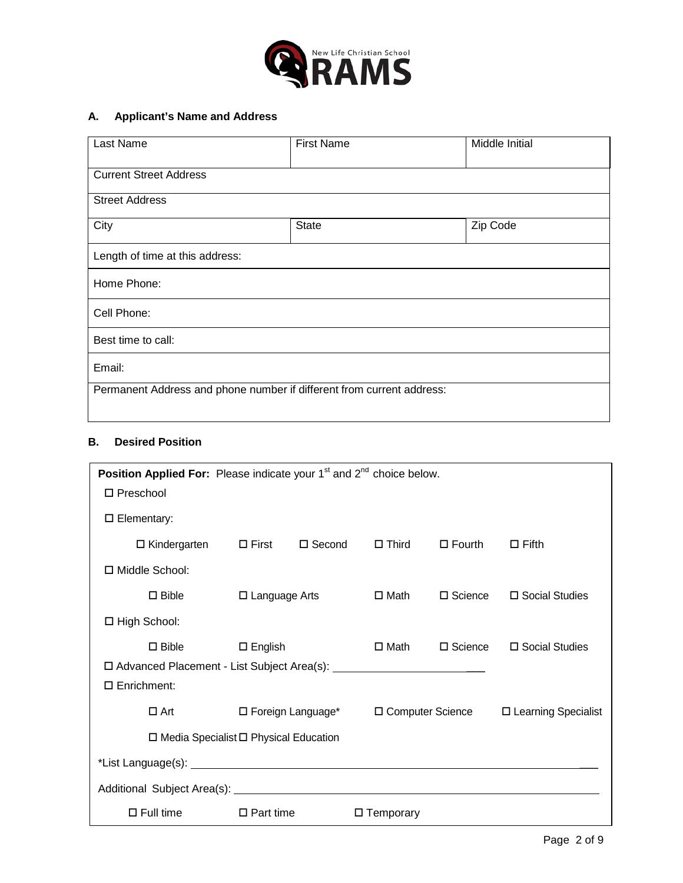

# **A. Applicant's Name and Address**

| Last Name                                                             | <b>First Name</b> | Middle Initial |  |  |
|-----------------------------------------------------------------------|-------------------|----------------|--|--|
| <b>Current Street Address</b>                                         |                   |                |  |  |
| <b>Street Address</b>                                                 |                   |                |  |  |
| City                                                                  | <b>State</b>      | Zip Code       |  |  |
| Length of time at this address:                                       |                   |                |  |  |
| Home Phone:                                                           |                   |                |  |  |
| Cell Phone:                                                           |                   |                |  |  |
| Best time to call:                                                    |                   |                |  |  |
| Email:                                                                |                   |                |  |  |
| Permanent Address and phone number if different from current address: |                   |                |  |  |

### **B. Desired Position**

| <b>Position Applied For:</b> Please indicate your $1st$ and $2nd$ choice below. |                      |               |                     |                    |                       |
|---------------------------------------------------------------------------------|----------------------|---------------|---------------------|--------------------|-----------------------|
| $\Box$ Preschool                                                                |                      |               |                     |                    |                       |
| $\square$ Elementary:                                                           |                      |               |                     |                    |                       |
| $\Box$ Kindergarten $\Box$ First                                                |                      | $\Box$ Second | $\square$ Third     | $\square$ Fourth   | $\Box$ Fifth          |
| □ Middle School:                                                                |                      |               |                     |                    |                       |
| $\square$ Bible                                                                 | $\Box$ Language Arts |               | □ Math              | $\square$ Science  | $\Box$ Social Studies |
| $\Box$ High School:                                                             |                      |               |                     |                    |                       |
| $\square$ Bible                                                                 | $\square$ English    |               | □ Math              | $\Box$ Science     | □ Social Studies      |
| □ Advanced Placement - List Subject Area(s): __________________________________ |                      |               |                     |                    |                       |
| $\Box$ Enrichment:                                                              |                      |               |                     |                    |                       |
| $\Box$ Art                                                                      | □ Foreign Language*  |               |                     | □ Computer Science | □ Learning Specialist |
| $\Box$ Media Specialist $\Box$ Physical Education                               |                      |               |                     |                    |                       |
|                                                                                 |                      |               |                     |                    |                       |
|                                                                                 |                      |               |                     |                    |                       |
| $\Box$ Full time                                                                | $\Box$ Part time     |               | $\square$ Temporary |                    |                       |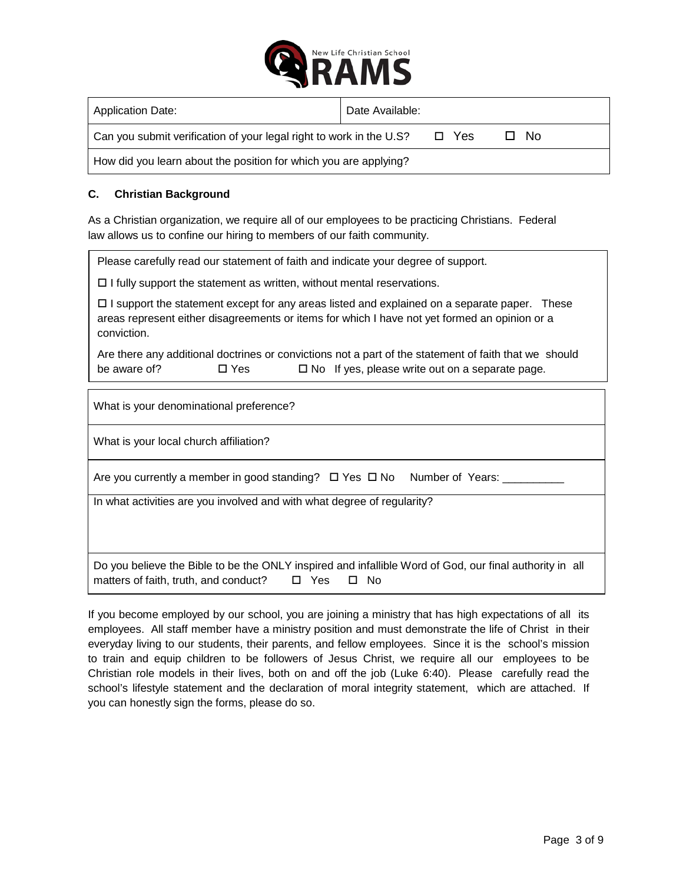

| <b>Application Date:</b>                                            | Date Available: |       |      |
|---------------------------------------------------------------------|-----------------|-------|------|
| Can you submit verification of your legal right to work in the U.S? |                 | □ Yes | □ No |
| How did you learn about the position for which you are applying?    |                 |       |      |

## **C. Christian Background**

As a Christian organization, we require all of our employees to be practicing Christians. Federal law allows us to confine our hiring to members of our faith community.

Please carefully read our statement of faith and indicate your degree of support.

 $\Box$  I fully support the statement as written, without mental reservations.

 $\Box$  I support the statement except for any areas listed and explained on a separate paper. These areas represent either disagreements or items for which I have not yet formed an opinion or a conviction.

Are there any additional doctrines or convictions not a part of the statement of faith that we should be aware of?  $\Box$  Yes  $\Box$  No If yes, please write out on a separate page.

What is your denominational preference?

What is your local church affiliation?

Are you currently a member in good standing?  $\Box$  Yes  $\Box$  No Number of Years:  $\Box$ 

In what activities are you involved and with what degree of regularity?

Do you believe the Bible to be the ONLY inspired and infallible Word of God, our final authority in all matters of faith, truth, and conduct?  $\Box$  Yes  $\Box$  No

If you become employed by our school, you are joining a ministry that has high expectations of all its employees. All staff member have a ministry position and must demonstrate the life of Christ in their everyday living to our students, their parents, and fellow employees. Since it is the school's mission to train and equip children to be followers of Jesus Christ, we require all our employees to be Christian role models in their lives, both on and off the job (Luke 6:40). Please carefully read the school's lifestyle statement and the declaration of moral integrity statement, which are attached. If you can honestly sign the forms, please do so.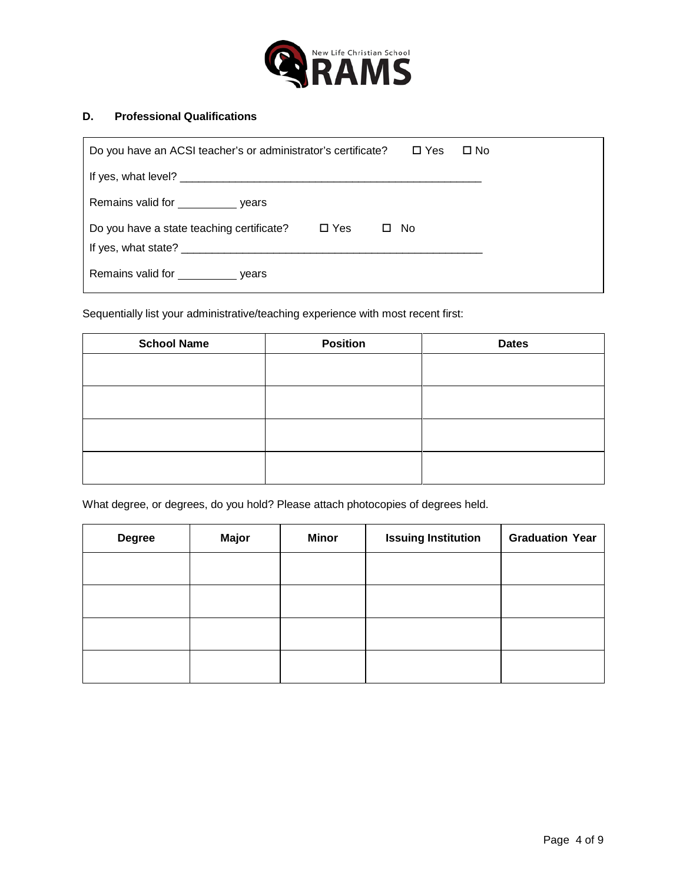

### **D. Professional Qualifications**

| Do you have an ACSI teacher's or administrator's certificate?<br>$\square$ Yes<br>$\Box$ No    |  |
|------------------------------------------------------------------------------------------------|--|
|                                                                                                |  |
| Remains valid for _______________ years                                                        |  |
| $\square$ Yes<br>Do you have a state teaching certificate?<br>- No<br>□<br>If yes, what state? |  |
| Remains valid for ______________ years                                                         |  |

Sequentially list your administrative/teaching experience with most recent first:

| <b>School Name</b> | <b>Position</b> | <b>Dates</b> |
|--------------------|-----------------|--------------|
|                    |                 |              |
|                    |                 |              |
|                    |                 |              |
|                    |                 |              |
|                    |                 |              |

What degree, or degrees, do you hold? Please attach photocopies of degrees held.

| <b>Degree</b> | <b>Major</b> | <b>Minor</b> | <b>Issuing Institution</b> | <b>Graduation Year</b> |
|---------------|--------------|--------------|----------------------------|------------------------|
|               |              |              |                            |                        |
|               |              |              |                            |                        |
|               |              |              |                            |                        |
|               |              |              |                            |                        |
|               |              |              |                            |                        |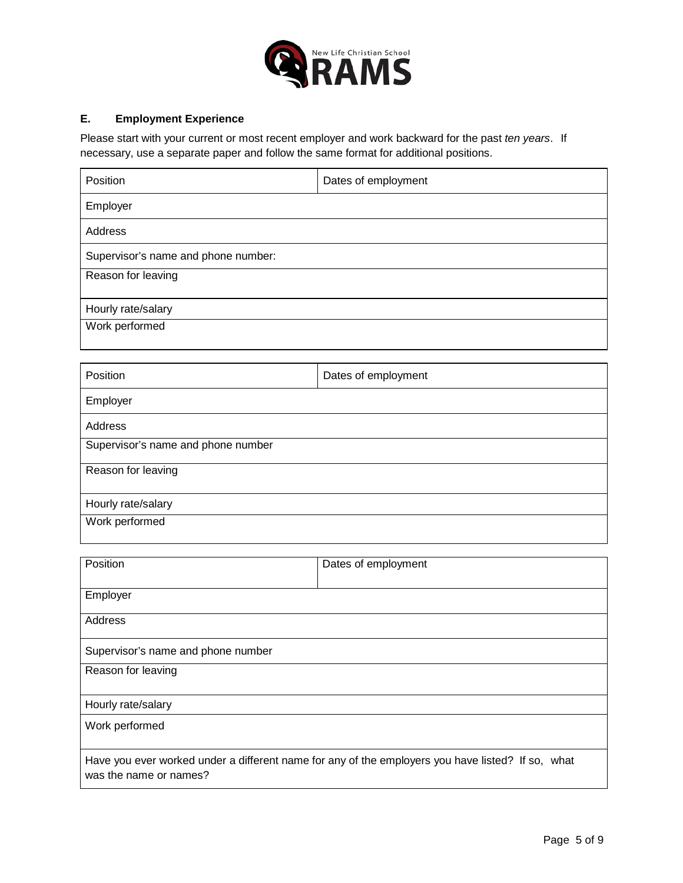

## **E. Employment Experience**

Please start with your current or most recent employer and work backward for the past *ten years*. If necessary, use a separate paper and follow the same format for additional positions.

| Position                            | Dates of employment |
|-------------------------------------|---------------------|
| Employer                            |                     |
| Address                             |                     |
| Supervisor's name and phone number: |                     |
| Reason for leaving                  |                     |
| Hourly rate/salary                  |                     |
| Work performed                      |                     |
|                                     |                     |
| Position                            | Dates of employment |
| Employer                            |                     |
| Address                             |                     |
| Supervisor's name and phone number  |                     |
| Reason for leaving                  |                     |
| Hourly rate/salary                  |                     |
| Work performed                      |                     |

| Position                           | Dates of employment                                                                               |
|------------------------------------|---------------------------------------------------------------------------------------------------|
| Employer                           |                                                                                                   |
| Address                            |                                                                                                   |
| Supervisor's name and phone number |                                                                                                   |
| Reason for leaving                 |                                                                                                   |
| Hourly rate/salary                 |                                                                                                   |
| Work performed                     |                                                                                                   |
| was the name or names?             | Have you ever worked under a different name for any of the employers you have listed? If so, what |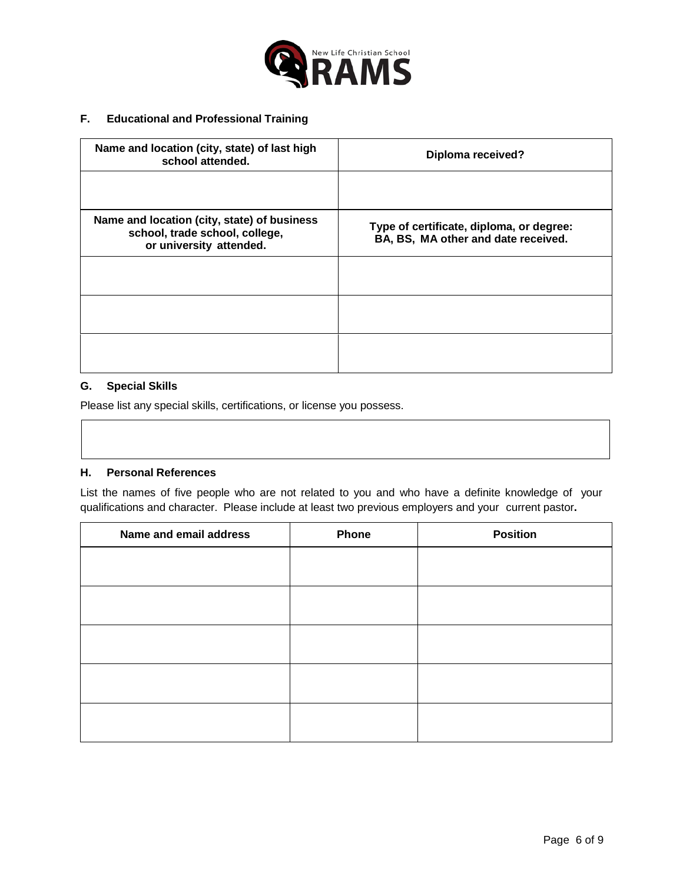

#### **F. Educational and Professional Training**

| Name and location (city, state) of last high<br>school attended.                                         | <b>Diploma received?</b>                                                        |
|----------------------------------------------------------------------------------------------------------|---------------------------------------------------------------------------------|
|                                                                                                          |                                                                                 |
| Name and location (city, state) of business<br>school, trade school, college,<br>or university attended. | Type of certificate, diploma, or degree:<br>BA, BS, MA other and date received. |
|                                                                                                          |                                                                                 |
|                                                                                                          |                                                                                 |
|                                                                                                          |                                                                                 |

#### **G. Special Skills**

Please list any special skills, certifications, or license you possess.

#### **H. Personal References**

List the names of five people who are not related to you and who have a definite knowledge of your qualifications and character. Please include at least two previous employers and your current pastor**.**

| Name and email address | Phone | <b>Position</b> |
|------------------------|-------|-----------------|
|                        |       |                 |
|                        |       |                 |
|                        |       |                 |
|                        |       |                 |
|                        |       |                 |
|                        |       |                 |
|                        |       |                 |
|                        |       |                 |
|                        |       |                 |
|                        |       |                 |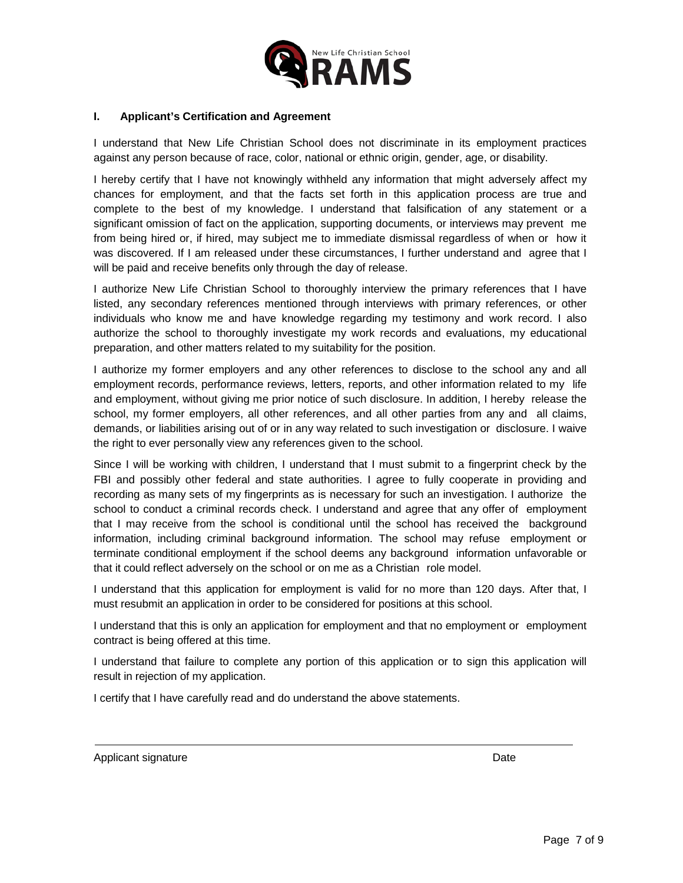

#### **I. Applicant's Certification and Agreement**

I understand that New Life Christian School does not discriminate in its employment practices against any person because of race, color, national or ethnic origin, gender, age, or disability.

I hereby certify that I have not knowingly withheld any information that might adversely affect my chances for employment, and that the facts set forth in this application process are true and complete to the best of my knowledge. I understand that falsification of any statement or a significant omission of fact on the application, supporting documents, or interviews may prevent me from being hired or, if hired, may subject me to immediate dismissal regardless of when or how it was discovered. If I am released under these circumstances, I further understand and agree that I will be paid and receive benefits only through the day of release.

I authorize New Life Christian School to thoroughly interview the primary references that I have listed, any secondary references mentioned through interviews with primary references, or other individuals who know me and have knowledge regarding my testimony and work record. I also authorize the school to thoroughly investigate my work records and evaluations, my educational preparation, and other matters related to my suitability for the position.

I authorize my former employers and any other references to disclose to the school any and all employment records, performance reviews, letters, reports, and other information related to my life and employment, without giving me prior notice of such disclosure. In addition, I hereby release the school, my former employers, all other references, and all other parties from any and all claims, demands, or liabilities arising out of or in any way related to such investigation or disclosure. I waive the right to ever personally view any references given to the school.

Since I will be working with children, I understand that I must submit to a fingerprint check by the FBI and possibly other federal and state authorities. I agree to fully cooperate in providing and recording as many sets of my fingerprints as is necessary for such an investigation. I authorize the school to conduct a criminal records check. I understand and agree that any offer of employment that I may receive from the school is conditional until the school has received the background information, including criminal background information. The school may refuse employment or terminate conditional employment if the school deems any background information unfavorable or that it could reflect adversely on the school or on me as a Christian role model.

I understand that this application for employment is valid for no more than 120 days. After that, I must resubmit an application in order to be considered for positions at this school.

I understand that this is only an application for employment and that no employment or employment contract is being offered at this time.

I understand that failure to complete any portion of this application or to sign this application will result in rejection of my application.

I certify that I have carefully read and do understand the above statements.

Applicant signature Date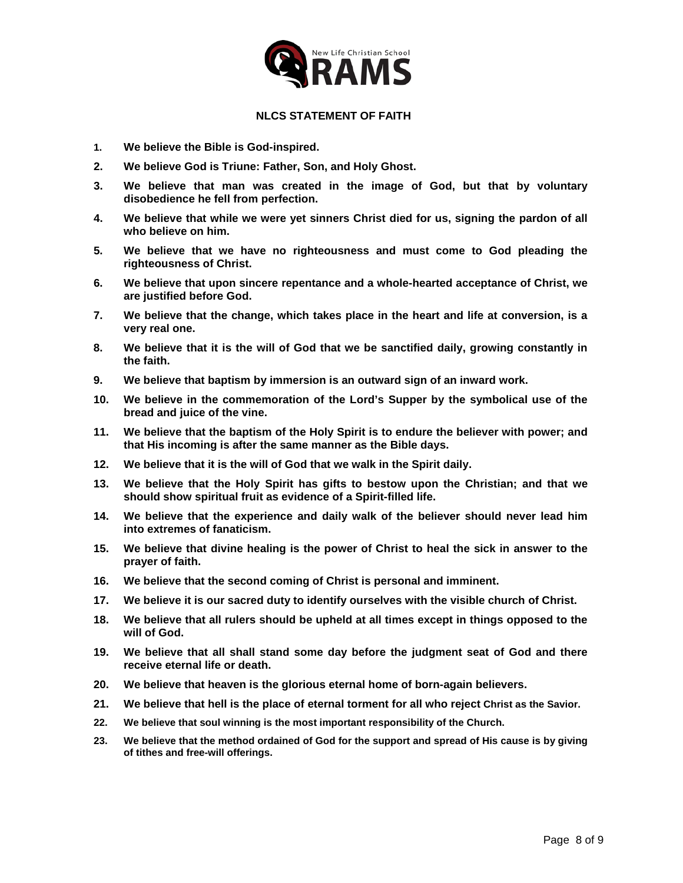

#### **NLCS STATEMENT OF FAITH**

- **1. We believe the Bible is God-inspired.**
- **2. We believe God is Triune: Father, Son, and Holy Ghost.**
- **3. We believe that man was created in the image of God, but that by voluntary disobedience he fell from perfection.**
- **4. We believe that while we were yet sinners Christ died for us, signing the pardon of all who believe on him.**
- **5. We believe that we have no righteousness and must come to God pleading the righteousness of Christ.**
- **6. We believe that upon sincere repentance and a whole-hearted acceptance of Christ, we are justified before God.**
- **7. We believe that the change, which takes place in the heart and life at conversion, is a very real one.**
- **8. We believe that it is the will of God that we be sanctified daily, growing constantly in the faith.**
- **9. We believe that baptism by immersion is an outward sign of an inward work.**
- **10. We believe in the commemoration of the Lord's Supper by the symbolical use of the bread and juice of the vine.**
- **11. We believe that the baptism of the Holy Spirit is to endure the believer with power; and that His incoming is after the same manner as the Bible days.**
- **12. We believe that it is the will of God that we walk in the Spirit daily.**
- **13. We believe that the Holy Spirit has gifts to bestow upon the Christian; and that we should show spiritual fruit as evidence of a Spirit-filled life.**
- **14. We believe that the experience and daily walk of the believer should never lead him into extremes of fanaticism.**
- **15. We believe that divine healing is the power of Christ to heal the sick in answer to the prayer of faith.**
- **16. We believe that the second coming of Christ is personal and imminent.**
- **17. We believe it is our sacred duty to identify ourselves with the visible church of Christ.**
- **18. We believe that all rulers should be upheld at all times except in things opposed to the will of God.**
- **19. We believe that all shall stand some day before the judgment seat of God and there receive eternal life or death.**
- **20. We believe that heaven is the glorious eternal home of born-again believers.**
- **21. We believe that hell is the place of eternal torment for all who reject Christ as the Savior.**
- **22. We believe that soul winning is the most important responsibility of the Church.**
- **23. We believe that the method ordained of God for the support and spread of His cause is by giving of tithes and free-will offerings.**